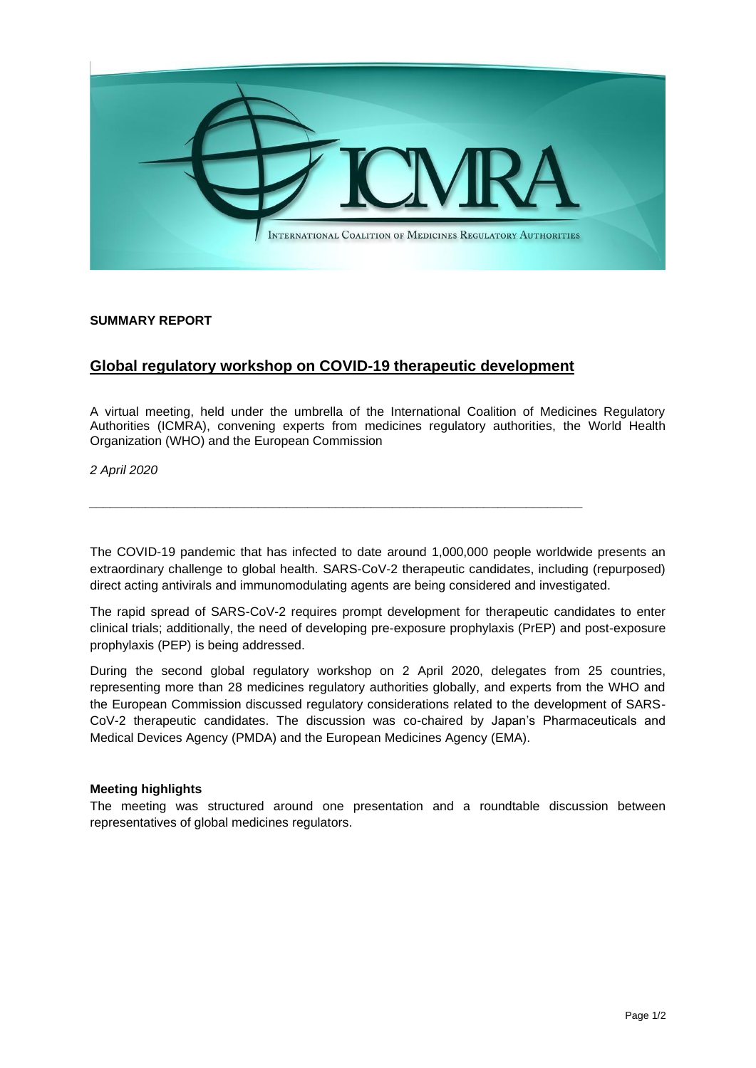

## **SUMMARY REPORT**

## **Global regulatory workshop on COVID-19 therapeutic development**

*\_\_\_\_\_\_\_\_\_\_\_\_\_\_\_\_\_\_\_\_\_\_\_\_\_\_\_\_\_\_\_\_\_\_\_\_\_\_\_\_\_\_\_\_\_\_\_\_\_\_\_\_\_\_\_\_\_\_\_\_\_\_\_\_\_\_\_\_\_\_*

A virtual meeting, held under the umbrella of the International Coalition of Medicines Regulatory Authorities (ICMRA), convening experts from medicines regulatory authorities, the World Health Organization (WHO) and the European Commission

*2 April 2020*

The COVID-19 pandemic that has infected to date around 1,000,000 people worldwide presents an extraordinary challenge to global health. SARS-CoV-2 therapeutic candidates, including (repurposed) direct acting antivirals and immunomodulating agents are being considered and investigated.

The rapid spread of SARS-CoV-2 requires prompt development for therapeutic candidates to enter clinical trials; additionally, the need of developing pre-exposure prophylaxis (PrEP) and post-exposure prophylaxis (PEP) is being addressed.

During the second global regulatory workshop on 2 April 2020, delegates from 25 countries, representing more than 28 medicines regulatory authorities globally, and experts from the WHO and the European Commission discussed regulatory considerations related to the development of SARS-CoV-2 therapeutic candidates. The discussion was co-chaired by Japan's Pharmaceuticals and Medical Devices Agency (PMDA) and the European Medicines Agency (EMA).

## **Meeting highlights**

The meeting was structured around one presentation and a roundtable discussion between representatives of global medicines regulators.